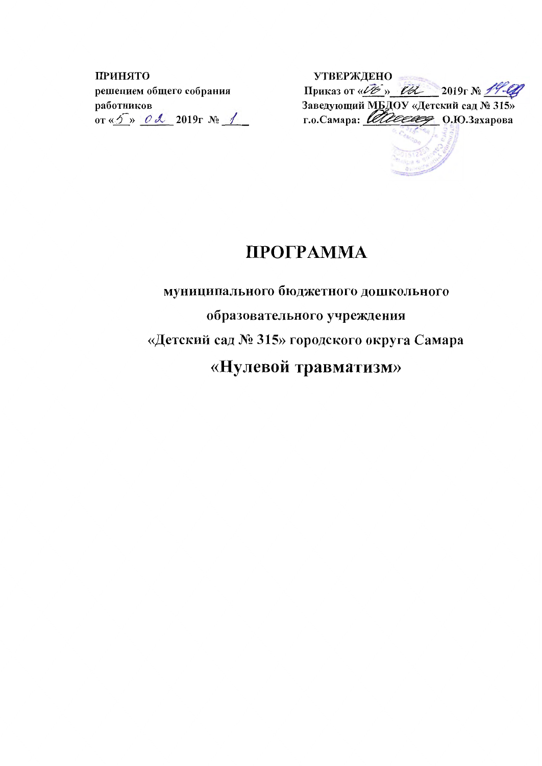ПРИНЯТО решением общего собрания работников or « $5 \times 2019$ r No 1

**УТВЕРЖДЕНО** л риказ от « $\underline{U}$ в » <del>Гд.</del> 2019 г№ 19-00<br>Заведующий МБДОУ «Детский сад № 315»<br>г.о.Самара: *Шиеевее* О.Ю.Захарова

# ПРОГРАММА

# муниципального бюджетного дошкольного образовательного учреждения «Детский сад № 315» городского округа Самара «Нулевой травматизм»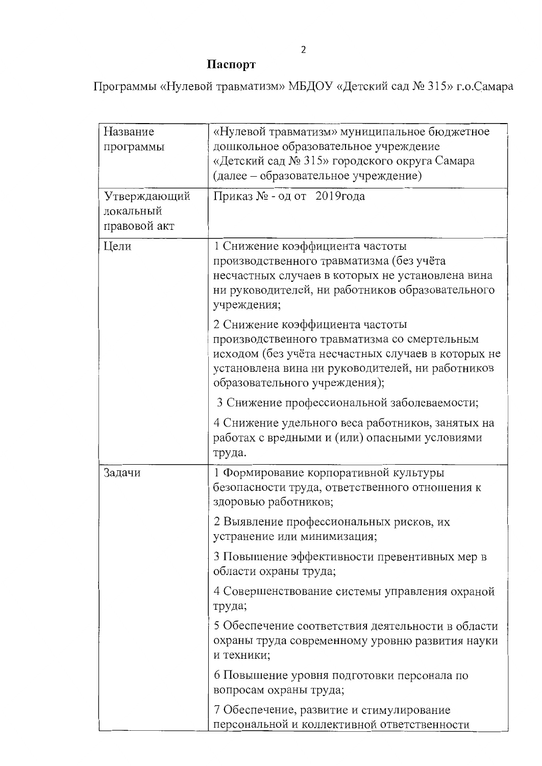# Паспорт

Программы «Нулевой травматизм» МБДОУ «Детский сад № 315» г.о.Самара

| Название<br>программы                     | «Нулевой травматизм» муниципальное бюджетное<br>дошкольное образовательное учреждение<br>«Детский сад № 315» городского округа Самара<br>(далее - образовательное учреждение)                                              |
|-------------------------------------------|----------------------------------------------------------------------------------------------------------------------------------------------------------------------------------------------------------------------------|
| Утверждающий<br>локальный<br>правовой акт | Приказ № - од от 2019года                                                                                                                                                                                                  |
| Цели                                      | 1 Снижение коэффициента частоты<br>производственного травматизма (без учёта<br>несчастных случаев в которых не установлена вина<br>ни руководителей, ни работников образовательного<br>учреждения;                         |
|                                           | 2 Снижение коэффициента частоты<br>производственного травматизма со смертельным<br>исходом (без учёта несчастных случаев в которых не<br>установлена вина ни руководителей, ни работников<br>образовательного учреждения); |
|                                           | 3 Снижение профессиональной заболеваемости;<br>4 Снижение удельного веса работников, занятых на<br>работах с вредными и (или) опасными условиями<br>труда.                                                                 |
| Задачи                                    | 1 Формирование корпоративной культуры<br>безопасности труда, ответственного отношения к<br>здоровью работников;                                                                                                            |
|                                           | 2 Выявление профессиональных рисков, их<br>устранение или минимизация;                                                                                                                                                     |
|                                           | 3 Повышение эффективности превентивных мер в<br>области охраны труда;                                                                                                                                                      |
|                                           | 4 Совершенствование системы управления охраной<br>труда;                                                                                                                                                                   |
|                                           | 5 Обеспечение соответствия деятельности в области<br>охраны труда современному уровню развития науки<br>и техники;                                                                                                         |
|                                           | 6 Повышение уровня подготовки персонала по<br>вопросам охраны труда;                                                                                                                                                       |
|                                           | 7 Обеспечение, развитие и стимулирование<br>персональной и коллективной ответственности                                                                                                                                    |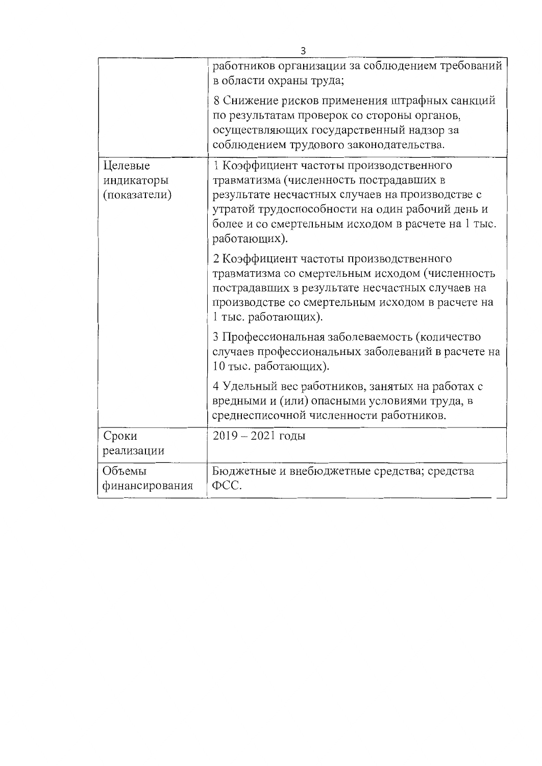| 3                          |                                                                                                 |  |  |  |  |  |
|----------------------------|-------------------------------------------------------------------------------------------------|--|--|--|--|--|
|                            | работников организации за соблюдением требований                                                |  |  |  |  |  |
|                            | в области охраны труда;                                                                         |  |  |  |  |  |
|                            | 8 Снижение рисков применения штрафных санкций                                                   |  |  |  |  |  |
|                            | по результатам проверок со стороны органов,                                                     |  |  |  |  |  |
|                            | осуществляющих государственный надзор за<br>соблюдением трудового законодательства.             |  |  |  |  |  |
|                            |                                                                                                 |  |  |  |  |  |
| Целевые                    | 1 Коэффициент частоты производственного                                                         |  |  |  |  |  |
| индикаторы<br>(показатели) | травматизма (численность пострадавших в<br>результате несчастных случаев на производстве с      |  |  |  |  |  |
|                            | утратой трудоспособности на один рабочий день и                                                 |  |  |  |  |  |
|                            | более и со смертельным исходом в расчете на 1 тыс.                                              |  |  |  |  |  |
|                            | работающих).                                                                                    |  |  |  |  |  |
|                            | 2 Коэффициент частоты производственного                                                         |  |  |  |  |  |
|                            | травматизма со смертельным исходом (численность                                                 |  |  |  |  |  |
|                            | пострадавших в результате несчастных случаев на                                                 |  |  |  |  |  |
|                            | производстве со смертельным исходом в расчете на                                                |  |  |  |  |  |
|                            | 1 тыс. работающих).                                                                             |  |  |  |  |  |
|                            | 3 Профессиональная заболеваемость (количество                                                   |  |  |  |  |  |
|                            | случаев профессиональных заболеваний в расчете на<br>10 тыс. работающих).                       |  |  |  |  |  |
|                            |                                                                                                 |  |  |  |  |  |
|                            | 4 Удельный вес работников, занятых на работах с<br>вредными и (или) опасными условиями труда, в |  |  |  |  |  |
|                            | среднесписочной численности работников.                                                         |  |  |  |  |  |
| Сроки                      | $2019 - 2021$ годы                                                                              |  |  |  |  |  |
| реализации                 |                                                                                                 |  |  |  |  |  |
| Объемы                     | Бюджетные и внебюджетные средства; средства                                                     |  |  |  |  |  |
| финансирования             | $\Phi$ CC.                                                                                      |  |  |  |  |  |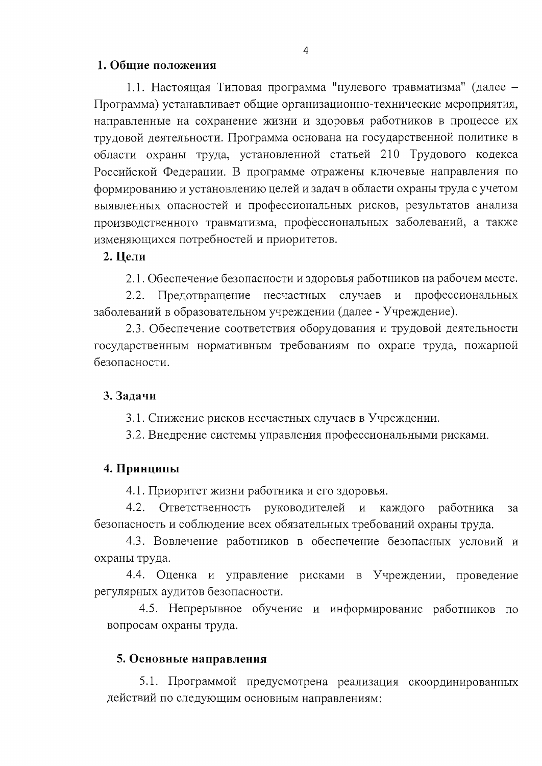#### 1. Общие положения

1.1. Настоящая Типовая программа "нулевого травматизма" (далее -Программа) устанавливает общие организационно-технические мероприятия, направленные на сохранение жизни и здоровья работников в процессе их трудовой деятельности. Программа основана на государственной политике в области охраны труда, установленной статьей 210 Трудового кодекса Российской Федерации. В программе отражены ключевые направления по формированию и установлению целей и задач в области охраны труда с учетом выявленных опасностей и профессиональных рисков, результатов анализа производственного травматизма, профессиональных заболеваний, а также изменяющихся потребностей и приоритетов.

#### 2. Цели

2.1. Обеспечение безопасности и здоровья работников на рабочем месте.

Предотвращение несчастных случаев и профессиональных  $2.2.$ заболеваний в образовательном учреждении (далее - Учреждение).

2.3. Обеспечение соответствия оборудования и трудовой деятельности государственным нормативным требованиям по охране труда, пожарной безопасности.

#### 3. Задачи

3.1. Снижение рисков несчастных случаев в Учреждении.

3.2. Внедрение системы управления профессиональными рисками.

#### 4. Принципы

4.1. Приоритет жизни работника и его здоровья.

 $4.2.$ Ответственность руководителей и каждого работника 32 безопасность и соблюдение всех обязательных требований охраны труда.

4.3. Вовлечение работников в обеспечение безопасных условий и охраны труда.

4.4. Оценка и управление рисками в Учреждении, проведение регулярных аудитов безопасности.

4.5. Непрерывное обучение и информирование работников по вопросам охраны труда.

#### 5. Основные направления

5.1. Программой предусмотрена реализация скоординированных действий по следующим основным направлениям: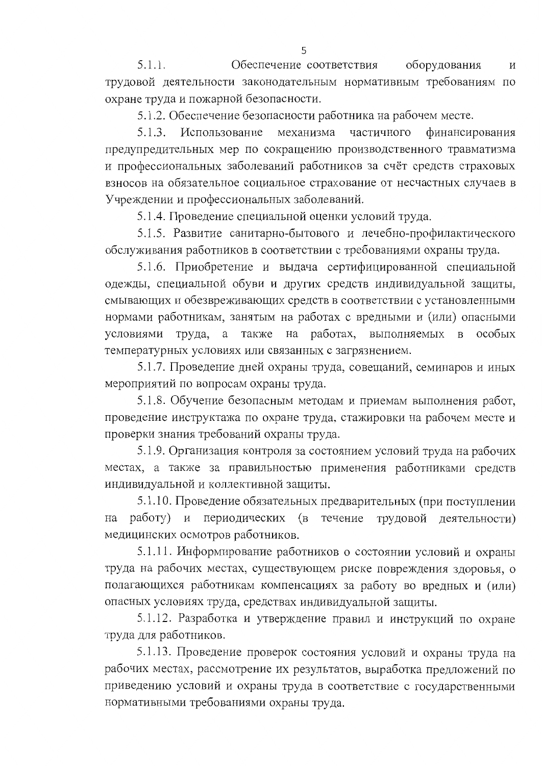$5.1.1.$ Обеспечение соответствия оборудования  $\overline{M}$ трудовой деятельности законодательным нормативным требованиям по охране труда и пожарной безопасности.

5.1.2. Обеспечение безопасности работника на рабочем месте.

Использование механизма 5.1.3. частичного финансирования предупредительных мер по сокращению производственного травматизма и профессиональных заболеваний работников за счёт средств страховых взносов на обязательное социальное страхование от несчастных случаев в Учреждении и профессиональных заболеваний.

5.1.4. Проведение специальной оценки условий труда.

5.1.5. Развитие санитарно-бытового и лечебно-профилактического обслуживания работников в соответствии с требованиями охраны труда.

5.1.6. Приобретение и выдача сертифицированной специальной одежды, специальной обуви и других средств индивидуальной защиты, смывающих и обезвреживающих средств в соответствии с установленными нормами работникам, занятым на работах с вредными и (или) опасными условиями труда, также на работах, выполняемых в особых a температурных условиях или связанных с загрязнением.

5.1.7. Проведение дней охраны труда, совещаний, семинаров и иных мероприятий по вопросам охраны труда.

5.1.8. Обучение безопасным методам и приемам выполнения работ, проведение инструктажа по охране труда, стажировки на рабочем месте и проверки знания требований охраны труда.

5.1.9. Организация контроля за состоянием условий труда на рабочих местах, а также за правильностью применения работниками средств индивидуальной и коллективной защиты.

5.1.10. Проведение обязательных предварительных (при поступлении работу) и периодических (в течение трудовой деятельности) на медицинских осмотров работников.

5.1.11. Информирование работников о состоянии условий и охраны труда на рабочих местах, существующем риске повреждения здоровья, о полагающихся работникам компенсациях за работу во вредных и (или) опасных условиях труда, средствах индивидуальной защиты.

5.1.12. Разработка и утверждение правил и инструкций по охране труда для работников.

5.1.13. Проведение проверок состояния условий и охраны труда на рабочих местах, рассмотрение их результатов, выработка предложений по приведению условий и охраны труда в соответствие с государственными нормативными требованиями охраны труда.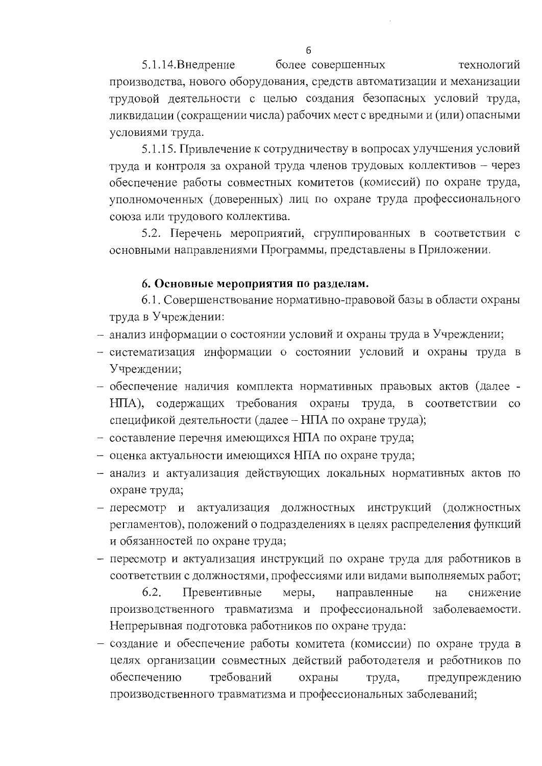$5.1.14.$ Внедрение более совершенных технологий производства, нового оборудования, средств автоматизации и механизации трудовой деятельности с целью создания безопасных условий труда, ликвидации (сокращении числа) рабочих мест с вредными и (или) опасными условиями труда.

5.1.15. Привлечение к сотрудничеству в вопросах улучшения условий труда и контроля за охраной труда членов трудовых коллективов - через обеспечение работы совместных комитетов (комиссий) по охране труда, уполномоченных (доверенных) лиц по охране труда профессионального союза или трудового коллектива.

5.2. Перечень мероприятий, сгруппированных в соответствии с основными направлениями Программы, представлены в Приложении.

#### 6. Основные мероприятия по разделам.

6.1. Совершенствование нормативно-правовой базы в области охраны труда в Учреждении:

- анализ информации о состоянии условий и охраны труда в Учреждении;
- систематизация информации о состоянии условий и охраны труда в Учреждении;
- обеспечение наличия комплекта нормативных правовых актов (далее -НПА), содержащих требования охраны труда, в соответствии со спецификой деятельности (далее - НПА по охране труда);
- составление перечня имеющихся НПА по охране труда;
- оценка актуальности имеющихся НПА по охране труда;
- анализ и актуализация действующих локальных нормативных актов по охране труда;
- пересмотр и актуализация должностных инструкций (должностных регламентов), положений о подразделениях в целях распределения функций и обязанностей по охране труда;
- пересмотр и актуализация инструкций по охране труда для работников в соответствии с должностями, профессиями или видами выполняемых работ;

6.2. Превентивные меры, направленные на снижение производственного травматизма и профессиональной заболеваемости. Непрерывная подготовка работников по охране труда:

– создание и обеспечение работы комитета (комиссии) по охране труда в целях организации совместных действий работодателя и работников по обеспечению требований охраны труда, предупреждению производственного травматизма и профессиональных заболеваний;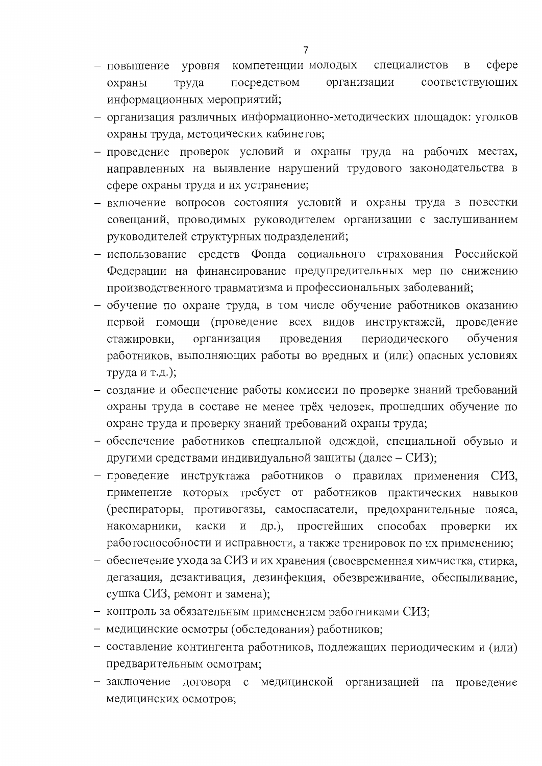- $c$  depe - повышение уровня компетенции молодых специалистов  $\overline{B}$ соответствующих посредством организации охраны труда информационных мероприятий;
- организация различных информационно-методических площадок: уголков охраны труда, методических кабинетов;
- проведение проверок условий и охраны труда на рабочих местах, направленных на выявление нарушений трудового законодательства в сфере охраны труда и их устранение;
- включение вопросов состояния условий и охраны труда в повестки совещаний, проводимых руководителем организации с заслушиванием руководителей структурных подразделений;
- использование средств Фонда социального страхования Российской Федерации на финансирование предупредительных мер по снижению производственного травматизма и профессиональных заболеваний;
- обучение по охране труда, в том числе обучение работников оказанию первой помощи (проведение всех видов инструктажей, проведение стажировки, организация проведения периодического обучения работников, выполняющих работы во вредных и (или) опасных условиях труда и т.д.);
- создание и обеспечение работы комиссии по проверке знаний требований охраны труда в составе не менее трёх человек, прошедших обучение по охране труда и проверку знаний требований охраны труда;
- обеспечение работников специальной одеждой, специальной обувью и другими средствами индивидуальной защиты (далее - СИЗ);
- проведение инструктажа работников о правилах применения СИЗ, применение которых требует от работников практических навыков (респираторы, противогазы, самоспасатели, предохранительные пояса, и др.), простейших способах накомарники, каски проверки ИХ работоспособности и исправности, а также тренировок по их применению;
- обеспечение ухода за СИЗ и их хранения (своевременная химчистка, стирка, дегазация, дезактивация, дезинфекция, обезвреживание, обеспыливание, сушка СИЗ, ремонт и замена);
- контроль за обязательным применением работниками СИЗ;
- медицинские осмотры (обследования) работников;
- составление контингента работников, подлежащих периодическим и (или) предварительным осмотрам;
- заключение договора с медицинской организацией на проведение медицинских осмотров;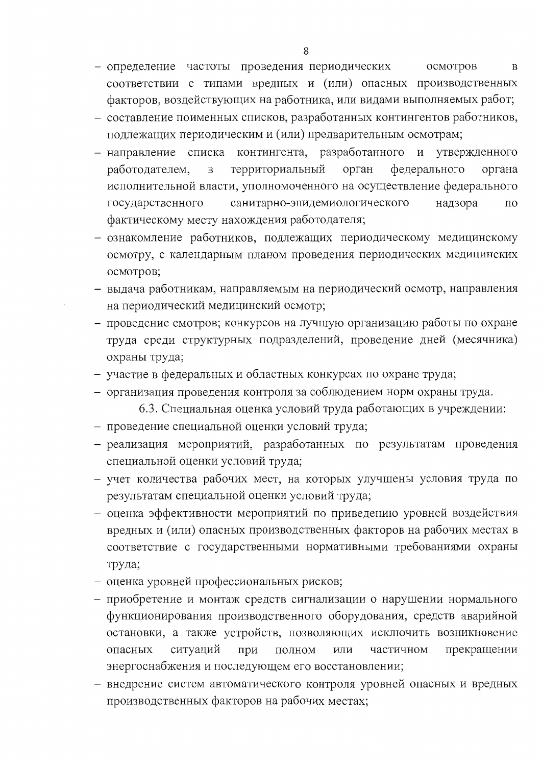- определение частоты проведения периодических осмотров  $\mathbf{B}$ соответствии с типами вредных и (или) опасных производственных факторов, воздействующих на работника, или видами выполняемых работ;
- составление поименных списков, разработанных контингентов работников, подлежащих периодическим и (или) предварительным осмотрам;
- направление списка контингента, разработанного и утвержденного территориальный орган федерального работодателем,  $\, {\bf B}$ органа исполнительной власти, уполномоченного на осуществление федерального санитарно-эпидемиологического надзора государственного ПО фактическому месту нахождения работодателя;
- ознакомление работников, подлежащих периодическому медицинскому осмотру, с календарным планом проведения периодических медицинских осмотров;
- выдача работникам, направляемым на периодический осмотр, направления на периодический медицинский осмотр;
- проведение смотров; конкурсов на лучшую организацию работы по охране труда среди структурных подразделений, проведение дней (месячника) охраны труда,
- участие в федеральных и областных конкурсах по охране труда;
- организация проведения контроля за соблюдением норм охраны труда.

6.3. Специальная оценка условий труда работающих в учреждении:

- проведение специальной оценки условий труда;
- реализация мероприятий, разработанных по результатам проведения специальной оценки условий труда;
- учет количества рабочих мест, на которых улучшены условия труда по результатам специальной оценки условий труда;
- оценка эффективности мероприятий по приведению уровней воздействия вредных и (или) опасных производственных факторов на рабочих местах в соответствие с государственными нормативными требованиями охраны труда;
- оценка уровней профессиональных рисков;
- приобретение и монтаж средств сигнализации о нарушении нормального функционирования производственного оборудования, средств аварийной остановки, а также устройств, позволяющих исключить возникновение ситуаций прекращении при ПОЛНОМ ИЛИ частичном опасных энергоснабжения и последующем его восстановлении;
- внедрение систем автоматического контроля уровней опасных и вредных производственных факторов на рабочих местах;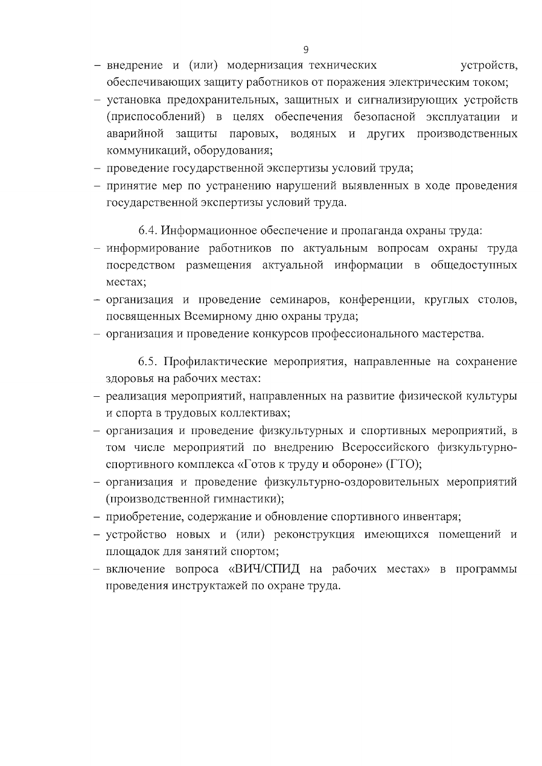- внедрение и (или) модернизация технических устройств, обеспечивающих защиту работников от поражения электрическим током;
- установка предохранительных, защитных и сигнализирующих устройств (приспособлений) в целях обеспечения безопасной эксплуатации и аварийной защиты паровых, водяных и других производственных коммуникаций, оборудования;
- проведение государственной экспертизы условий труда;
- принятие мер по устранению нарушений выявленных в ходе проведения государственной экспертизы условий труда.

6.4. Информационное обеспечение и пропаганда охраны труда:

- информирование работников по актуальным вопросам охраны труда посредством размещения актуальной информации в общедоступных местах;
- организация и проведение семинаров, конференции, круглых столов, посвященных Всемирному дню охраны труда;
- организация и проведение конкурсов профессионального мастерства.

6.5. Профилактические мероприятия, направленные на сохранение здоровья на рабочих местах:

- реализация мероприятий, направленных на развитие физической культуры и спорта в трудовых коллективах;
- организация и проведение физкультурных и спортивных мероприятий, в том числе мероприятий по внедрению Всероссийского физкультурноспортивного комплекса «Готов к труду и обороне» (ГТО);
- организация и проведение физкультурно-оздоровительных мероприятий (производственной гимнастики);
- приобретение, содержание и обновление спортивного инвентаря;
- устройство новых и (или) реконструкция имеющихся помещений и площадок для занятий спортом;
- включение вопроса «ВИЧ/СПИД на рабочих местах» в программы проведения инструктажей по охране труда.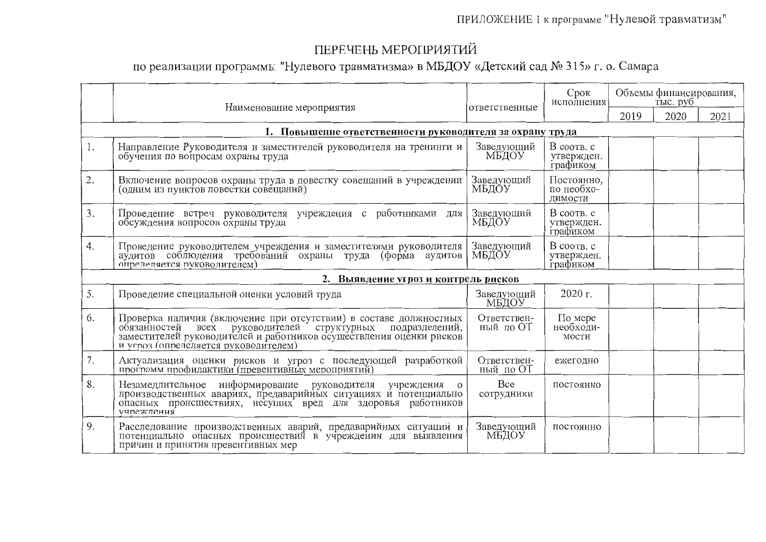### ПРИЛОЖЕНИЕ 1 к программе "Нулевой травматизм"

# ПЕРЕЧЕНЬ МЕРОПРИЯТИЙ

## по реализации программы: "Нулевого травматизма» в МБДОУ «Детский сад № 315» г. о. Самара

|    | Наименование мероприятия                                                                                                                                                                                                                                       | ответственные            | Срок<br>исполнения                   | Объемы финансирования,<br>тыс. руб. |      |      |
|----|----------------------------------------------------------------------------------------------------------------------------------------------------------------------------------------------------------------------------------------------------------------|--------------------------|--------------------------------------|-------------------------------------|------|------|
|    |                                                                                                                                                                                                                                                                |                          |                                      | 2019                                | 2020 | 2021 |
|    | 1. Повышение ответственности руководителя за охрану труда                                                                                                                                                                                                      |                          |                                      |                                     |      |      |
| 1. | Направление Руководителя и заместителей руководителя на тренинги и<br>обучения по вопросам охраны труда                                                                                                                                                        | Заведующий<br>МБДОУ      | B cootb. c<br>утвержден.<br>графиком |                                     |      |      |
| 2. | Включение вопросов охраны труда в повестку совещаний в учреждении<br>(одним из пунктов повестки совещаний)                                                                                                                                                     | Заведующий<br>МБДОУ      | Постоянно,<br>по необхо-<br>димости  |                                     |      |      |
| 3. | Проведение встреч руководителя учреждения с работниками для<br>обсуждения вопросов охраны труда                                                                                                                                                                | Заведующий<br>МБДОУ      | B cootb. c<br>утвержден.<br>графиком |                                     |      |      |
| 4. | Проведение руководителем учреждения и заместителями руководителя<br>аудитов соблюдения требований охраны труда (форма аудитов<br>опрелепяется руковолителем)                                                                                                   | Заведующий<br>МБДОУ      | B cootb. c<br>утвержден.<br>графиком |                                     |      |      |
|    | 2. Выявление угроз и контроль рисков                                                                                                                                                                                                                           |                          |                                      |                                     |      |      |
| 5. | Проведение специальной оценки условий труда                                                                                                                                                                                                                    | Заведующий<br>МБДОУ      | 2020 г.                              |                                     |      |      |
| 6. | Проверка наличия (включение при отсутствии) в составе должностных<br>обязанностей<br>руководителей структурных<br>подразделений,<br><b>BCCX</b><br>заместителей руководителей и работников осуществления оценки рисков<br>и угроз (опреледяется руководителем) | Ответствен-<br>ный по ОТ | По мере<br>необходи-<br>мости        |                                     |      |      |
| 7. | Актуализация оценки рисков и угроз с последующей разработкой программ профилактики (превентивных мероприятий)                                                                                                                                                  | Ответствен-<br>ный по ОТ | ежегодно                             |                                     |      |      |
| 8. | Незамедлительное информирование руководителя<br>учреждения<br>$\overline{O}$<br>производственных авариях, предаварийных ситуациях и потенциально<br>опасных происшествиях, несущих вред для здоровья работников<br><b>учпежления</b>                           | Bce<br>сотрудники        | постоянно                            |                                     |      |      |
| 9. | Расследование производственных аварий, предаварийных ситуаций и<br>потенциально опасных происшествий в учреждении для выявления<br>причин и принятия превентивных мер                                                                                          | Заведующий<br>МБДОУ      | постоянно                            |                                     |      |      |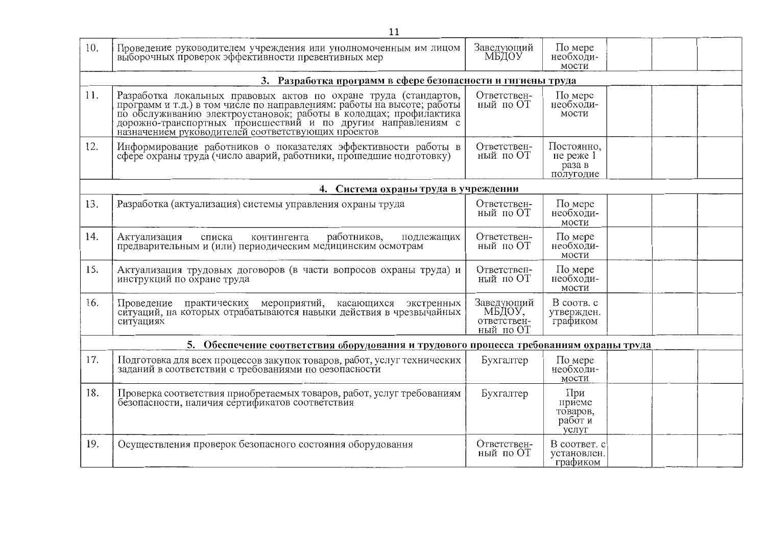|     | 11                                                                                                                                                                                                                                                                                                                                    |                                                  |                                                  |  |  |
|-----|---------------------------------------------------------------------------------------------------------------------------------------------------------------------------------------------------------------------------------------------------------------------------------------------------------------------------------------|--------------------------------------------------|--------------------------------------------------|--|--|
| 10. | Проведение руководителем учреждения или уполномоченным им лицом<br>выборочных проверок эффективности превентивных мер                                                                                                                                                                                                                 | Заведующий<br>МБДОУ                              | По мере<br>необходи-<br>мости                    |  |  |
|     | 3. Разработка программ в сфере безопасности и гигиены труда                                                                                                                                                                                                                                                                           |                                                  |                                                  |  |  |
| 11. | Разработка локальных правовых актов по охране труда (стандартов,<br>программ и т.д.) в том числе по направлениям: работы на высоте; работы<br>по обслуживанию электроустановок; работы в колодцах; профилактика<br>дорожно-транспортных происшествий и по другим направлениям с<br>назначением руководителей соответствующих проектов | Ответствен-<br>ный по ОТ                         | По мере<br>необходи-<br>мости                    |  |  |
| 12. | Информирование работников о показателях эффективности работы в<br>сфере охраны труда (число аварий, работники, прошедшие подготовку)                                                                                                                                                                                                  | Ответствен-<br>ный по ОТ                         | Постоянно,<br>не реже $1$<br>раза в<br>полугодие |  |  |
|     | 4. Система охраны труда в учреждении                                                                                                                                                                                                                                                                                                  |                                                  |                                                  |  |  |
| 13. | Разработка (актуализация) системы управления охраны труда                                                                                                                                                                                                                                                                             | Ответствен-<br>ный по ОТ                         | По мере<br>необходи-<br>мости                    |  |  |
| 14. | работников,<br>подлежащих<br>Актуализация<br>списка<br>контингента<br>предварительным и (или) периодическим медицинским осмотрам                                                                                                                                                                                                      | Ответствен-<br>ный по ОТ                         | По мере<br>необходи-<br>мости                    |  |  |
| 15. | Актуализация трудовых договоров (в части вопросов охраны труда) и<br>инструкций по охране труда                                                                                                                                                                                                                                       | Ответствен-<br>ный по ОТ                         | По мере<br>необходи-<br>мости                    |  |  |
| 16. | Проведение практических мероприятий, касающихся экстренных<br>ситуаций, на которых отрабатываются навыки действия в чрезвычайных<br>ситуациях                                                                                                                                                                                         | Заведующий<br>МБДОУ,<br>ответствен-<br>ный по ОТ | В соотв. с<br>утвержден.<br>графиком             |  |  |
|     | 5. Обеспечение соответствия оборудования и трудового процесса требованиям охраны труда                                                                                                                                                                                                                                                |                                                  |                                                  |  |  |
| 17. | Подготовка для всех процессов закупок товаров, работ, услуг технических<br>заданий в соответствии с требованиями по оезопасности                                                                                                                                                                                                      | Бухгалтер                                        | По мере<br>необходи-<br>мости                    |  |  |
| 18. | Проверка соответствия приобретаемых товаров, работ, услуг требованиям<br>безопасности, наличия сертификатов соответствия                                                                                                                                                                                                              | Бухгалтер                                        | При<br>приеме<br>товаров,<br>работ и<br>УСЛУГ    |  |  |
| 19. | Осуществления проверок безопасного состояния оборудования                                                                                                                                                                                                                                                                             | Ответствен-<br>ный по ОТ                         | В соответ. с<br>установлен.<br>графиком          |  |  |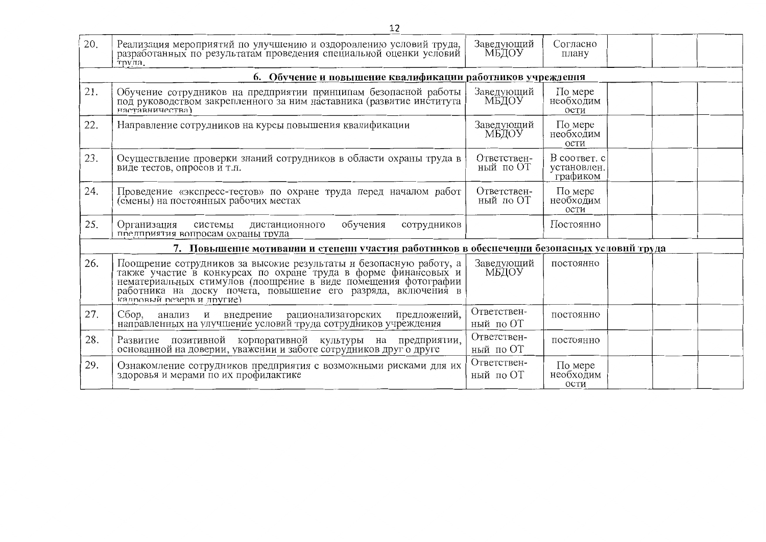|     | 12                                                                                                                                                                                                                                                                                                   |                          |                                         |  |  |  |  |  |
|-----|------------------------------------------------------------------------------------------------------------------------------------------------------------------------------------------------------------------------------------------------------------------------------------------------------|--------------------------|-----------------------------------------|--|--|--|--|--|
| 20. | Реализация мероприятий по улучшению и оздоровлению условий труда,<br>разработанных по результатам проведения специальной оценки условий<br>трула.                                                                                                                                                    | Заведующий<br>МБДОУ      | Согласно<br>плану                       |  |  |  |  |  |
|     | 6. Обучение и повышение квалификации работников учреждення                                                                                                                                                                                                                                           |                          |                                         |  |  |  |  |  |
| 21. | Обучение сотрудников на предприятии принципам безопасной работы<br>под руководством закрепленного за ним наставника (развитие института<br>наставничества)                                                                                                                                           | Заведующий<br>МБДОУ      | По мере<br>необходим<br>ости            |  |  |  |  |  |
| 22. | Направление сотрудников на курсы повышения квалификации                                                                                                                                                                                                                                              | Заведующий<br>МБДОУ      | По мере<br>необходим<br>ости            |  |  |  |  |  |
| 23. | Осуществление проверки знаний сотрудников в области охраны труда в<br>виде тестов, опросов и т.п.                                                                                                                                                                                                    | Ответствен-<br>ный по ОТ | B cootbet. c<br>установлен.<br>графиком |  |  |  |  |  |
| 24. | Проведение «экспресс-тестов» по охране труда перед началом работ<br>(смены) на постоянных рабочих местах                                                                                                                                                                                             | Ответствен-<br>ный по ОТ | По мере<br>необходим<br>ости            |  |  |  |  |  |
| 25. | Организация<br>обучения<br>системы<br>сотрудников<br>дистанционного<br>предприятия вопросам охраны труда                                                                                                                                                                                             |                          | Постоянно                               |  |  |  |  |  |
|     | 7. Повышение мотивании и степени участия работников в обеснечении безонасных условнй труда                                                                                                                                                                                                           |                          |                                         |  |  |  |  |  |
| 26. | Поощрение сотрудников за высокие результаты и безопасную работу, а<br>также участие в конкурсах по охране труда в форме финансовых и<br>нематериальных стимулов (поощрение в виде помещения фотографии<br>работника на доску почета, повышение его разряда, включения в<br>калровый резерв и лругие) | Заведующий<br>МБДОУ      | постоянно                               |  |  |  |  |  |
| 27. | Сбор,<br>внедрение<br>анализ и<br>рационализаторских<br>предложений,<br>направленных на улучшение условий труда сотрудников учреждения                                                                                                                                                               | Ответствен-<br>ный по ОТ | постоянно                               |  |  |  |  |  |
| 28. | Развитие позитивной корпоративной культуры на предприятии, основанной на доверии, уважении и заботе сотрудников друг о друге                                                                                                                                                                         | Ответствен-<br>ный по ОТ | постоянно                               |  |  |  |  |  |
| 29. | Ознакомление сотрудников предприятия с возможными рисками для их<br>здоровья и мерами по их профилактике                                                                                                                                                                                             | Ответствен-<br>ный по ОТ | По мере<br>необходим<br>ости            |  |  |  |  |  |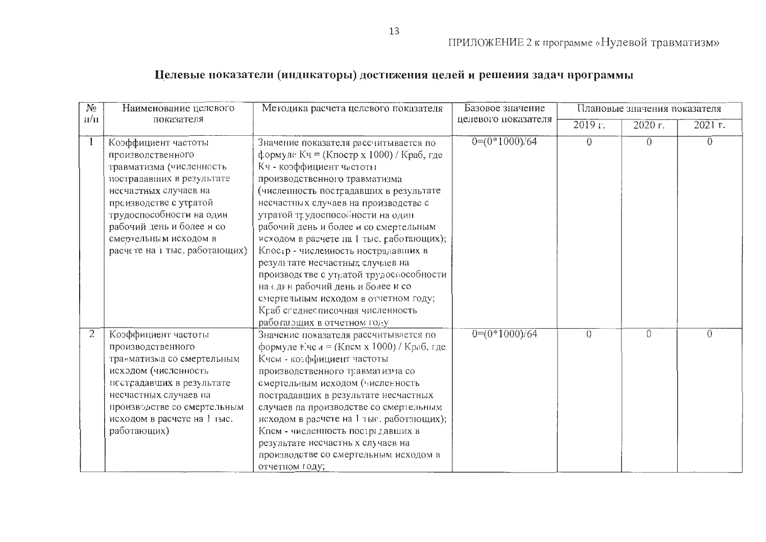## Целевые ноказатели (индикаторы) достижения целей и решеиия задач нрограммы

| $N_2$                   | Наименование целевого                                                                                                                                                                                                                                                   | Методика расчета целевого показателя                                                                                                                                                                                                                                                                                                                                                                                                                                                                                                                                                                                           | Базовое значение    |           | Плановые значения показателя |          |
|-------------------------|-------------------------------------------------------------------------------------------------------------------------------------------------------------------------------------------------------------------------------------------------------------------------|--------------------------------------------------------------------------------------------------------------------------------------------------------------------------------------------------------------------------------------------------------------------------------------------------------------------------------------------------------------------------------------------------------------------------------------------------------------------------------------------------------------------------------------------------------------------------------------------------------------------------------|---------------------|-----------|------------------------------|----------|
| $\mathbf{u}/\mathbf{u}$ | показателя                                                                                                                                                                                                                                                              |                                                                                                                                                                                                                                                                                                                                                                                                                                                                                                                                                                                                                                | целевого показателя | $2019r$ . | $20\overline{20}$ r.         | 2021 r.  |
|                         | Коэффициент частоты<br>производственного<br>травматизма (численность<br>пострадавщих в результате<br>несчастных случаев на<br>преизводстве с утратой<br>трудоспособности на один<br>рабочий день и более и со<br>смертельным исходом в<br>расчете на і тыс. работающих) | Значение показателя рассчитывается по<br>формуле Кч = (Кпостр х 1000) / Краб, где<br>Кч - коэффициент частоты<br>производственного травматизма<br>(численность пострадавших в результате<br>несчастных случаев на производстве с<br>утратой трудоспосойности на один<br>рабочий день и более и со смертельным<br>исходом в расчете на 1 тыс. работающих);<br>Кпостр - численность нострадавших в<br>результате несчастных случаев на<br>производстве с утратой трудоспособности<br>на сдин рабочий день и более и со<br>смертельным исходом в отчетном году;<br>Краб сгеднесписочная численность<br>работающих в отчетном году | $0=(0*1000)/64$     | $\theta$  | $\theta$                     | $\theta$ |
| 2                       | Коэффициент частоты<br>производственного<br>транматизма со смертельным<br>исходом (численность<br>исстрадавших в результате<br>несчастных случаев на<br>производстве со смертельным<br>исходом в расчете на 1 тыс.<br>работающих)                                       | Значение показателя рассчитывается по<br>формуле Ече $u = (Kncm x 1000) / Kpa6$ , где<br>Кчем - козффициент частоты<br>производственного травматизма со<br>смертельным исходом (численность<br>пострадавших в результате несчастных<br>случаев па производстве со смертельным<br>исходом в расчете на 1 тыс. работающих);<br>Кпсм - численность пострадавших в<br>результате несчастных случаев на<br>производстве со смертельным исходом в<br>отчетном году;                                                                                                                                                                  | $0=(0*1000)/64$     | ()        | 0                            | $\Omega$ |